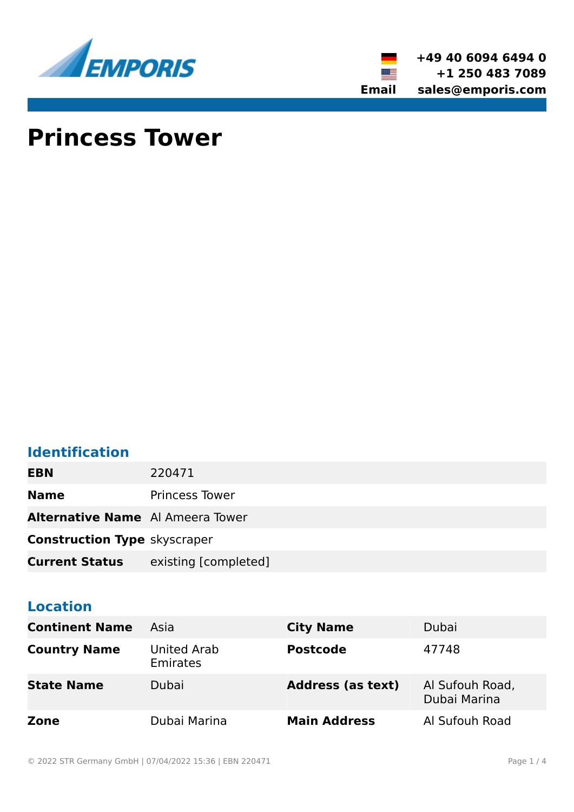



# **Princess Tower**

# **Identification**

**EBN** 220471

**Name** Princess Tower

**Alternative Name** Al Ameera Tower

**Construction Type** skyscraper

**Current Status** existing [completed]

# **Location**

| <b>Continent Name</b> | Asia                           | <b>City Name</b>         | Dubai                           |
|-----------------------|--------------------------------|--------------------------|---------------------------------|
| <b>Country Name</b>   | United Arab<br><b>Emirates</b> | <b>Postcode</b>          | 47748                           |
| <b>State Name</b>     | Dubai                          | <b>Address (as text)</b> | Al Sufouh Road,<br>Dubai Marina |
| Zone                  | Dubai Marina                   | <b>Main Address</b>      | Al Sufouh Road                  |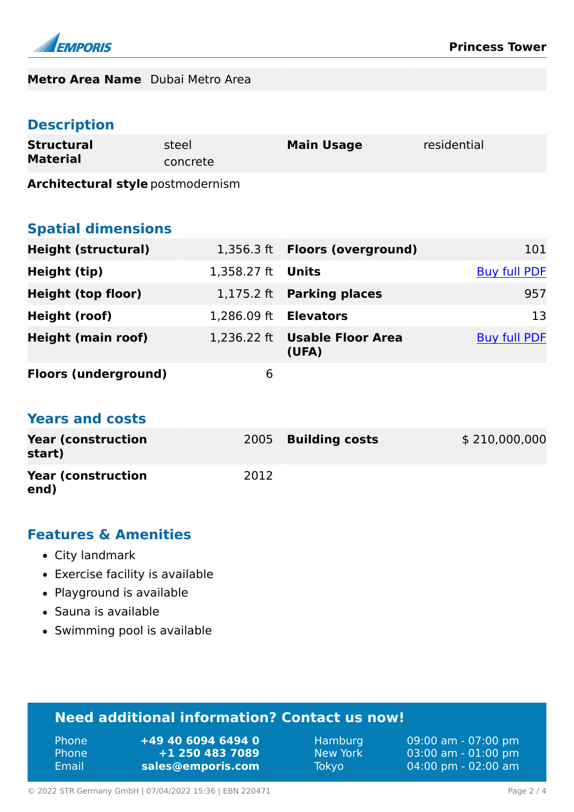

#### **Metro Area Name** Dubai Metro Area

# **Description**

| <b>Structural</b> | steel    | <b>Main Usage</b> | residential |
|-------------------|----------|-------------------|-------------|
| <b>Material</b>   | concrete |                   |             |

**Architectural style** postmodernism

#### **Spatial dimensions**

| <b>Height (structural)</b>  |                          | 1,356.3 ft  Floors (overground)        | 101                 |
|-----------------------------|--------------------------|----------------------------------------|---------------------|
| Height (tip)                | 1,358.27 ft <b>Units</b> |                                        | <b>Buy full PDF</b> |
| <b>Height (top floor)</b>   |                          | 1,175.2 ft Parking places              | 957                 |
| Height (roof)               | 1,286.09 ft              | <b>Elevators</b>                       | 13                  |
| <b>Height (main roof)</b>   |                          | 1,236.22 ft Usable Floor Area<br>(UFA) | <b>Buy full PDF</b> |
| <b>Floors (underground)</b> | 6                        |                                        |                     |

#### **Years and costs**

| <b>Year (construction)</b><br>start) |      | 2005 Building costs | \$210,000,000 |
|--------------------------------------|------|---------------------|---------------|
| <b>Year (construction)</b><br>end)   | 2012 |                     |               |

#### **Features & Amenities**

- City landmark
- Exercise facility is available
- Playground is available
- Sauna is available
- Swimming pool is available

# **Need additional information? Contact us now!**

| ' Phone | +49 40 6094 6494 0 |
|---------|--------------------|
| 'Phone. | +1 250 483 7089    |
| Email   | sales@emporis.com  |

Hamburg 09:00 am - 07:00 pm New York 03:00 am - 01:00 pm Tokyo 04:00 pm - 02:00 am

© 2022 STR Germany GmbH | 07/04/2022 15:36 | EBN 220471 Page 2 / 4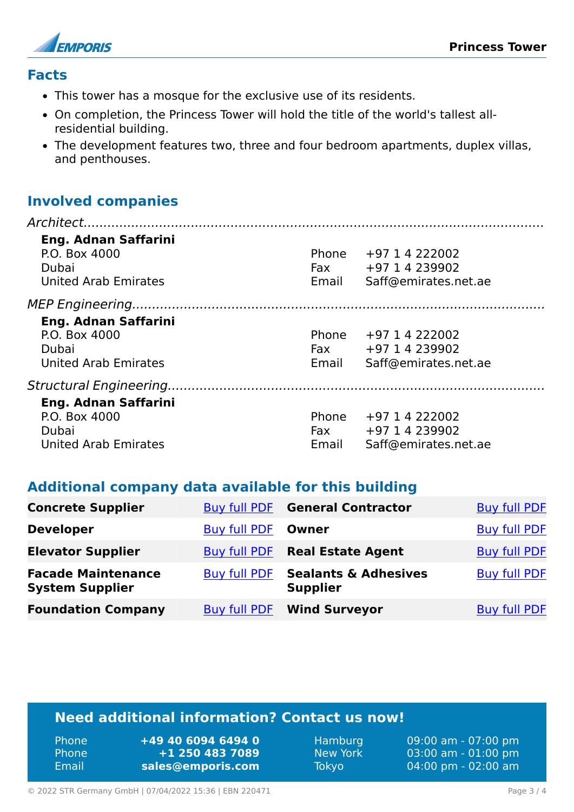

#### **Facts**

- This tower has a mosque for the exclusive use of its residents.
- On completion, the Princess Tower will hold the title of the world's tallest allresidential building.
- The development features two, three and four bedroom apartments, duplex villas, and penthouses.

#### **Involved companies**

| <b>Eng. Adnan Saffarini</b><br>P.O. Box 4000<br>Dubai<br><b>United Arab Emirates</b> | Phone<br>Email | +97 1 4 222002<br>Fax $+97$ 1 4 239902<br>Saff@emirates.net.ae |
|--------------------------------------------------------------------------------------|----------------|----------------------------------------------------------------|
|                                                                                      |                |                                                                |
| <b>Eng. Adnan Saffarini</b><br>P.O. Box 4000<br>Dubai<br><b>United Arab Emirates</b> | Phone<br>Email | +97 1 4 222002<br>Fax $+97$ 1 4 239902<br>Saff@emirates.net.ae |
|                                                                                      |                |                                                                |
| <b>Eng. Adnan Saffarini</b><br>P.O. Box 4000<br>Dubai<br><b>United Arab Emirates</b> | Phone<br>Email | +97 1 4 222002<br>Fax $+97$ 1 4 239902<br>Saff@emirates.net.ae |

#### **Additional company data available for this building**

| <b>Concrete Supplier</b>                            |                     | <b>Buy full PDF</b> General Contractor             | <b>Buy full PDF</b> |
|-----------------------------------------------------|---------------------|----------------------------------------------------|---------------------|
| <b>Developer</b>                                    | <b>Buy full PDF</b> | Owner                                              | <b>Buy full PDF</b> |
| <b>Elevator Supplier</b>                            | Buy full PDF        | <b>Real Estate Agent</b>                           | <b>Buy full PDF</b> |
| <b>Facade Maintenance</b><br><b>System Supplier</b> | <b>Buy full PDF</b> | <b>Sealants &amp; Adhesives</b><br><b>Supplier</b> | <b>Buy full PDF</b> |
| <b>Foundation Company</b>                           | <b>Buy full PDF</b> | <b>Wind Surveyor</b>                               | <b>Buy full PDF</b> |

# **Need additional information? Contact us now!**

| <b>Phone</b> | +49 40 6094 6494 0 |
|--------------|--------------------|
| <b>Phone</b> | +1 250 483 7089    |
| Email        | sales@emporis.com  |

Hamburg 09:00 am - 07:00 pm New York 03:00 am - 01:00 pm Tokyo 04:00 pm - 02:00 am